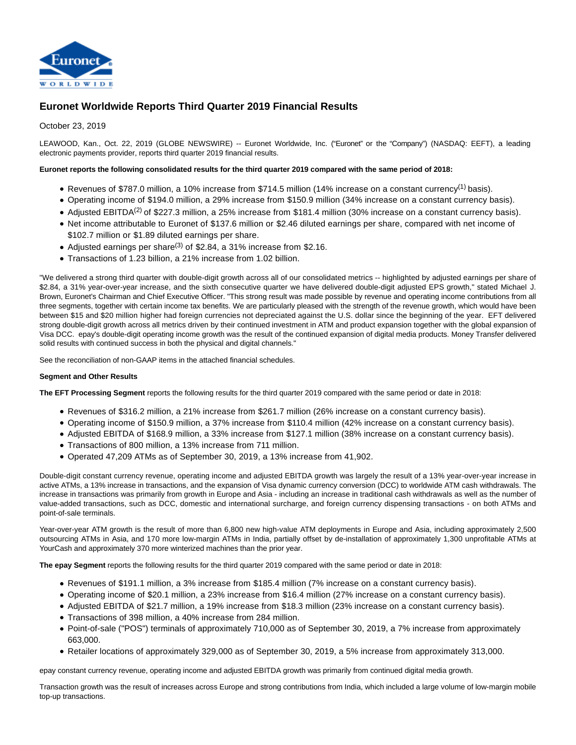

# **Euronet Worldwide Reports Third Quarter 2019 Financial Results**

### October 23, 2019

LEAWOOD, Kan., Oct. 22, 2019 (GLOBE NEWSWIRE) -- Euronet Worldwide, Inc. ("Euronet" or the "Company") (NASDAQ: EEFT), a leading electronic payments provider, reports third quarter 2019 financial results.

#### **Euronet reports the following consolidated results for the third quarter 2019 compared with the same period of 2018:**

- Revenues of \$787.0 million, a 10% increase from \$714.5 million (14% increase on a constant currency<sup>(1)</sup> basis).
- Operating income of \$194.0 million, a 29% increase from \$150.9 million (34% increase on a constant currency basis).
- Adjusted EBITDA<sup>(2)</sup> of \$227.3 million, a 25% increase from \$181.4 million (30% increase on a constant currency basis).
- Net income attributable to Euronet of \$137.6 million or \$2.46 diluted earnings per share, compared with net income of \$102.7 million or \$1.89 diluted earnings per share.
- Adjusted earnings per share<sup>(3)</sup> of \$2.84, a 31% increase from \$2.16.
- Transactions of 1.23 billion, a 21% increase from 1.02 billion.

"We delivered a strong third quarter with double-digit growth across all of our consolidated metrics -- highlighted by adjusted earnings per share of \$2.84, a 31% year-over-year increase, and the sixth consecutive quarter we have delivered double-digit adjusted EPS growth," stated Michael J. Brown, Euronet's Chairman and Chief Executive Officer. "This strong result was made possible by revenue and operating income contributions from all three segments, together with certain income tax benefits. We are particularly pleased with the strength of the revenue growth, which would have been between \$15 and \$20 million higher had foreign currencies not depreciated against the U.S. dollar since the beginning of the year. EFT delivered strong double-digit growth across all metrics driven by their continued investment in ATM and product expansion together with the global expansion of Visa DCC. epay's double-digit operating income growth was the result of the continued expansion of digital media products. Money Transfer delivered solid results with continued success in both the physical and digital channels."

See the reconciliation of non-GAAP items in the attached financial schedules.

#### **Segment and Other Results**

**The EFT Processing Segment** reports the following results for the third quarter 2019 compared with the same period or date in 2018:

- Revenues of \$316.2 million, a 21% increase from \$261.7 million (26% increase on a constant currency basis).
- Operating income of \$150.9 million, a 37% increase from \$110.4 million (42% increase on a constant currency basis).
- Adjusted EBITDA of \$168.9 million, a 33% increase from \$127.1 million (38% increase on a constant currency basis).
- Transactions of 800 million, a 13% increase from 711 million.
- Operated 47,209 ATMs as of September 30, 2019, a 13% increase from 41,902.

Double-digit constant currency revenue, operating income and adjusted EBITDA growth was largely the result of a 13% year-over-year increase in active ATMs, a 13% increase in transactions, and the expansion of Visa dynamic currency conversion (DCC) to worldwide ATM cash withdrawals. The increase in transactions was primarily from growth in Europe and Asia - including an increase in traditional cash withdrawals as well as the number of value-added transactions, such as DCC, domestic and international surcharge, and foreign currency dispensing transactions - on both ATMs and point-of-sale terminals.

Year-over-year ATM growth is the result of more than 6,800 new high-value ATM deployments in Europe and Asia, including approximately 2,500 outsourcing ATMs in Asia, and 170 more low-margin ATMs in India, partially offset by de-installation of approximately 1,300 unprofitable ATMs at YourCash and approximately 370 more winterized machines than the prior year.

**The epay Segment** reports the following results for the third quarter 2019 compared with the same period or date in 2018:

- Revenues of \$191.1 million, a 3% increase from \$185.4 million (7% increase on a constant currency basis).
- Operating income of \$20.1 million, a 23% increase from \$16.4 million (27% increase on a constant currency basis).
- Adjusted EBITDA of \$21.7 million, a 19% increase from \$18.3 million (23% increase on a constant currency basis).
- Transactions of 398 million, a 40% increase from 284 million.
- Point-of-sale ("POS") terminals of approximately 710,000 as of September 30, 2019, a 7% increase from approximately 663,000.
- Retailer locations of approximately 329,000 as of September 30, 2019, a 5% increase from approximately 313,000.

epay constant currency revenue, operating income and adjusted EBITDA growth was primarily from continued digital media growth.

Transaction growth was the result of increases across Europe and strong contributions from India, which included a large volume of low-margin mobile top-up transactions.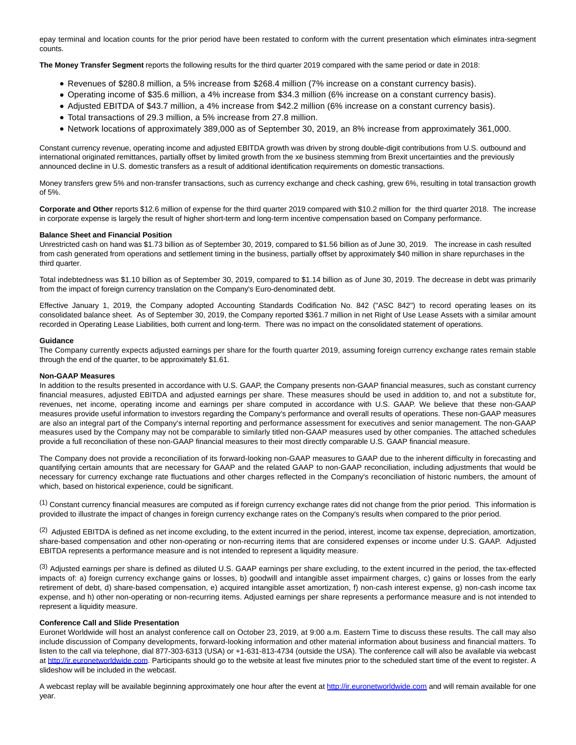epay terminal and location counts for the prior period have been restated to conform with the current presentation which eliminates intra-segment counts.

**The Money Transfer Segment** reports the following results for the third quarter 2019 compared with the same period or date in 2018:

- Revenues of \$280.8 million, a 5% increase from \$268.4 million (7% increase on a constant currency basis).
- Operating income of \$35.6 million, a 4% increase from \$34.3 million (6% increase on a constant currency basis).
- Adjusted EBITDA of \$43.7 million, a 4% increase from \$42.2 million (6% increase on a constant currency basis).
- Total transactions of 29.3 million, a 5% increase from 27.8 million.
- Network locations of approximately 389,000 as of September 30, 2019, an 8% increase from approximately 361,000.

Constant currency revenue, operating income and adjusted EBITDA growth was driven by strong double-digit contributions from U.S. outbound and international originated remittances, partially offset by limited growth from the xe business stemming from Brexit uncertainties and the previously announced decline in U.S. domestic transfers as a result of additional identification requirements on domestic transactions.

Money transfers grew 5% and non-transfer transactions, such as currency exchange and check cashing, grew 6%, resulting in total transaction growth of 5%.

**Corporate and Other** reports \$12.6 million of expense for the third quarter 2019 compared with \$10.2 million for the third quarter 2018. The increase in corporate expense is largely the result of higher short-term and long-term incentive compensation based on Company performance.

#### **Balance Sheet and Financial Position**

Unrestricted cash on hand was \$1.73 billion as of September 30, 2019, compared to \$1.56 billion as of June 30, 2019. The increase in cash resulted from cash generated from operations and settlement timing in the business, partially offset by approximately \$40 million in share repurchases in the third quarter.

Total indebtedness was \$1.10 billion as of September 30, 2019, compared to \$1.14 billion as of June 30, 2019. The decrease in debt was primarily from the impact of foreign currency translation on the Company's Euro-denominated debt.

Effective January 1, 2019, the Company adopted Accounting Standards Codification No. 842 ("ASC 842") to record operating leases on its consolidated balance sheet. As of September 30, 2019, the Company reported \$361.7 million in net Right of Use Lease Assets with a similar amount recorded in Operating Lease Liabilities, both current and long-term. There was no impact on the consolidated statement of operations.

#### **Guidance**

The Company currently expects adjusted earnings per share for the fourth quarter 2019, assuming foreign currency exchange rates remain stable through the end of the quarter, to be approximately \$1.61.

#### **Non-GAAP Measures**

In addition to the results presented in accordance with U.S. GAAP, the Company presents non-GAAP financial measures, such as constant currency financial measures, adjusted EBITDA and adjusted earnings per share. These measures should be used in addition to, and not a substitute for, revenues, net income, operating income and earnings per share computed in accordance with U.S. GAAP. We believe that these non-GAAP measures provide useful information to investors regarding the Company's performance and overall results of operations. These non-GAAP measures are also an integral part of the Company's internal reporting and performance assessment for executives and senior management. The non-GAAP measures used by the Company may not be comparable to similarly titled non-GAAP measures used by other companies. The attached schedules provide a full reconciliation of these non-GAAP financial measures to their most directly comparable U.S. GAAP financial measure.

The Company does not provide a reconciliation of its forward-looking non-GAAP measures to GAAP due to the inherent difficulty in forecasting and quantifying certain amounts that are necessary for GAAP and the related GAAP to non-GAAP reconciliation, including adjustments that would be necessary for currency exchange rate fluctuations and other charges reflected in the Company's reconciliation of historic numbers, the amount of which, based on historical experience, could be significant.

(1) Constant currency financial measures are computed as if foreign currency exchange rates did not change from the prior period. This information is provided to illustrate the impact of changes in foreign currency exchange rates on the Company's results when compared to the prior period.

 $(2)$  Adjusted EBITDA is defined as net income excluding, to the extent incurred in the period, interest, income tax expense, depreciation, amortization, share-based compensation and other non-operating or non-recurring items that are considered expenses or income under U.S. GAAP. Adjusted EBITDA represents a performance measure and is not intended to represent a liquidity measure.

 $<sup>(3)</sup>$  Adjusted earnings per share is defined as diluted U.S. GAAP earnings per share excluding, to the extent incurred in the period, the tax-effected</sup> impacts of: a) foreign currency exchange gains or losses, b) goodwill and intangible asset impairment charges, c) gains or losses from the early retirement of debt, d) share-based compensation, e) acquired intangible asset amortization, f) non-cash interest expense, g) non-cash income tax expense, and h) other non-operating or non-recurring items. Adjusted earnings per share represents a performance measure and is not intended to represent a liquidity measure.

#### **Conference Call and Slide Presentation**

Euronet Worldwide will host an analyst conference call on October 23, 2019, at 9:00 a.m. Eastern Time to discuss these results. The call may also include discussion of Company developments, forward-looking information and other material information about business and financial matters. To listen to the call via telephone, dial 877-303-6313 (USA) or +1-631-813-4734 (outside the USA). The conference call will also be available via webcast at [http://ir.euronetworldwide.com.](http://ir.euronetworldwide.com/) Participants should go to the website at least five minutes prior to the scheduled start time of the event to register. A slideshow will be included in the webcast.

A webcast replay will be available beginning approximately one hour after the event at [http://ir.euronetworldwide.com a](http://ir.euronetworldwide.com/)nd will remain available for one year.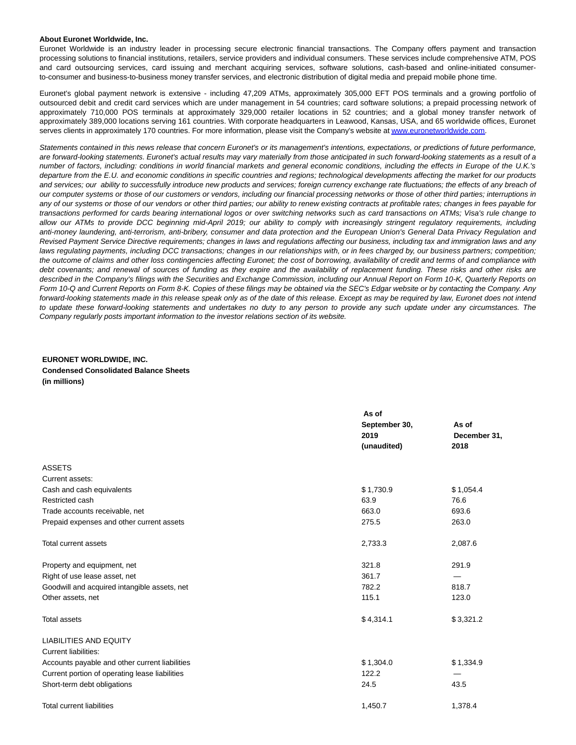#### **About Euronet Worldwide, Inc.**

Euronet Worldwide is an industry leader in processing secure electronic financial transactions. The Company offers payment and transaction processing solutions to financial institutions, retailers, service providers and individual consumers. These services include comprehensive ATM, POS and card outsourcing services, card issuing and merchant acquiring services, software solutions, cash-based and online-initiated consumerto-consumer and business-to-business money transfer services, and electronic distribution of digital media and prepaid mobile phone time.

Euronet's global payment network is extensive - including 47,209 ATMs, approximately 305,000 EFT POS terminals and a growing portfolio of outsourced debit and credit card services which are under management in 54 countries; card software solutions; a prepaid processing network of approximately 710,000 POS terminals at approximately 329,000 retailer locations in 52 countries; and a global money transfer network of approximately 389,000 locations serving 161 countries. With corporate headquarters in Leawood, Kansas, USA, and 65 worldwide offices, Euronet serves clients in approximately 170 countries. For more information, please visit the Company's website a[t www.euronetworldwide.com.](http://www.euronetworldwide.com/)

Statements contained in this news release that concern Euronet's or its management's intentions, expectations, or predictions of future performance, are forward-looking statements. Euronet's actual results may vary materially from those anticipated in such forward-looking statements as a result of a number of factors, including: conditions in world financial markets and general economic conditions, including the effects in Europe of the U.K.'s departure from the E.U. and economic conditions in specific countries and regions; technological developments affecting the market for our products and services; our ability to successfully introduce new products and services; foreign currency exchange rate fluctuations; the effects of any breach of our computer systems or those of our customers or vendors, including our financial processing networks or those of other third parties; interruptions in any of our systems or those of our vendors or other third parties; our ability to renew existing contracts at profitable rates; changes in fees payable for transactions performed for cards bearing international logos or over switching networks such as card transactions on ATMs; Visa's rule change to allow our ATMs to provide DCC beginning mid-April 2019; our ability to comply with increasingly stringent regulatory requirements, including anti-money laundering, anti-terrorism, anti-bribery, consumer and data protection and the European Union's General Data Privacy Regulation and Revised Payment Service Directive requirements; changes in laws and regulations affecting our business, including tax and immigration laws and any laws regulating payments, including DCC transactions; changes in our relationships with, or in fees charged by, our business partners; competition; the outcome of claims and other loss contingencies affecting Euronet; the cost of borrowing, availability of credit and terms of and compliance with debt covenants; and renewal of sources of funding as they expire and the availability of replacement funding. These risks and other risks are described in the Company's filings with the Securities and Exchange Commission, including our Annual Report on Form 10-K, Quarterly Reports on Form 10-Q and Current Reports on Form 8-K. Copies of these filings may be obtained via the SEC's Edgar website or by contacting the Company. Any forward-looking statements made in this release speak only as of the date of this release. Except as may be required by law, Euronet does not intend to update these forward-looking statements and undertakes no duty to any person to provide any such update under any circumstances. The Company regularly posts important information to the investor relations section of its website.

### **EURONET WORLDWIDE, INC. Condensed Consolidated Balance Sheets (in millions)**

|                                                | As of<br>September 30,<br>2019<br>(unaudited) | As of<br>December 31,<br>2018 |  |
|------------------------------------------------|-----------------------------------------------|-------------------------------|--|
|                                                |                                               |                               |  |
| <b>ASSETS</b>                                  |                                               |                               |  |
| Current assets:                                |                                               |                               |  |
| Cash and cash equivalents                      | \$1,730.9                                     | \$1,054.4                     |  |
| Restricted cash                                | 63.9                                          | 76.6                          |  |
| Trade accounts receivable, net                 | 663.0                                         | 693.6                         |  |
| Prepaid expenses and other current assets      | 275.5                                         | 263.0                         |  |
| Total current assets                           | 2,733.3                                       | 2,087.6                       |  |
| Property and equipment, net                    | 321.8                                         | 291.9                         |  |
| Right of use lease asset, net                  | 361.7                                         | —                             |  |
| Goodwill and acquired intangible assets, net   | 782.2                                         | 818.7                         |  |
| Other assets, net                              | 115.1                                         | 123.0                         |  |
| <b>Total assets</b>                            | \$4,314.1                                     | \$3,321.2                     |  |
| <b>LIABILITIES AND EQUITY</b>                  |                                               |                               |  |
| <b>Current liabilities:</b>                    |                                               |                               |  |
| Accounts payable and other current liabilities | \$1,304.0                                     | \$1,334.9                     |  |
| Current portion of operating lease liabilities | 122.2                                         |                               |  |
| Short-term debt obligations                    | 24.5                                          | 43.5                          |  |
| <b>Total current liabilities</b>               | 1,450.7                                       | 1,378.4                       |  |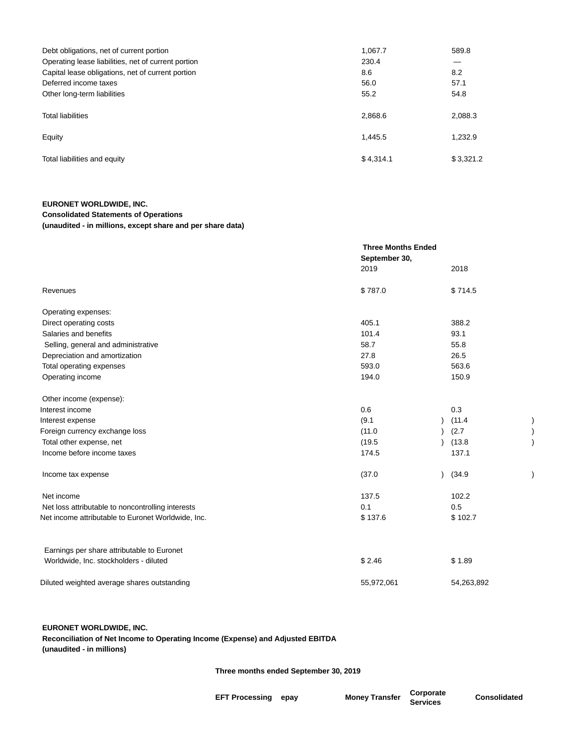| Debt obligations, net of current portion            | 1,067.7   | 589.8     |
|-----------------------------------------------------|-----------|-----------|
| Operating lease liabilities, net of current portion | 230.4     |           |
| Capital lease obligations, net of current portion   | 8.6       | 8.2       |
| Deferred income taxes                               | 56.0      | 57.1      |
| Other long-term liabilities                         | 55.2      | 54.8      |
| <b>Total liabilities</b>                            | 2,868.6   | 2,088.3   |
| Equity                                              | 1.445.5   | 1.232.9   |
| Total liabilities and equity                        | \$4,314.1 | \$3,321.2 |

# **EURONET WORLDWIDE, INC.**

# **Consolidated Statements of Operations**

### **(unaudited - in millions, except share and per share data)**

|                                                    | <b>Three Months Ended</b> |           |            |  |
|----------------------------------------------------|---------------------------|-----------|------------|--|
|                                                    | September 30,             |           |            |  |
|                                                    | 2019                      |           | 2018       |  |
| Revenues                                           | \$787.0                   |           | \$714.5    |  |
| Operating expenses:                                |                           |           |            |  |
| Direct operating costs                             | 405.1                     |           | 388.2      |  |
| Salaries and benefits                              | 101.4                     |           | 93.1       |  |
| Selling, general and administrative                | 58.7                      |           | 55.8       |  |
| Depreciation and amortization                      | 27.8                      |           | 26.5       |  |
| Total operating expenses                           | 593.0                     |           | 563.6      |  |
| Operating income                                   | 194.0                     |           | 150.9      |  |
| Other income (expense):                            |                           |           |            |  |
| Interest income                                    | 0.6                       |           | 0.3        |  |
| Interest expense                                   | (9.1)                     |           | (11.4)     |  |
| Foreign currency exchange loss                     | (11.0)                    |           | (2.7)      |  |
| Total other expense, net                           | (19.5)                    |           | (13.8)     |  |
| Income before income taxes                         | 174.5                     |           | 137.1      |  |
| Income tax expense                                 | (37.0)                    | $\lambda$ | (34.9)     |  |
| Net income                                         | 137.5                     |           | 102.2      |  |
| Net loss attributable to noncontrolling interests  | 0.1                       |           | 0.5        |  |
| Net income attributable to Euronet Worldwide, Inc. | \$137.6                   |           | \$102.7    |  |
| Earnings per share attributable to Euronet         |                           |           |            |  |
| Worldwide, Inc. stockholders - diluted             | \$2.46                    |           | \$1.89     |  |
|                                                    |                           |           |            |  |
| Diluted weighted average shares outstanding        | 55,972,061                |           | 54,263,892 |  |

### **EURONET WORLDWIDE, INC.**

 **Reconciliation of Net Income to Operating Income (Expense) and Adjusted EBITDA (unaudited - in millions)**

**Three months ended September 30, 2019**

**EFT Processing epay Money Transfer Corporate**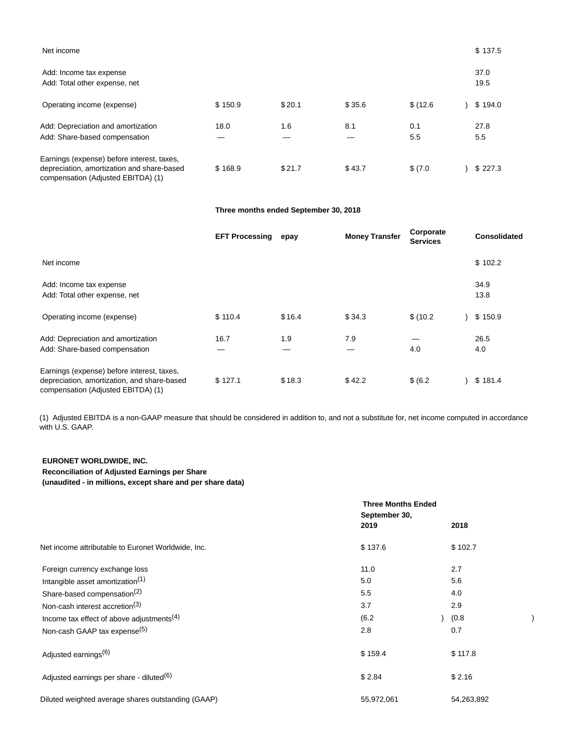| Net income                                                                                                                     |         |        |        |            | \$137.5      |
|--------------------------------------------------------------------------------------------------------------------------------|---------|--------|--------|------------|--------------|
| Add: Income tax expense<br>Add: Total other expense, net                                                                       |         |        |        |            | 37.0<br>19.5 |
| Operating income (expense)                                                                                                     | \$150.9 | \$20.1 | \$35.6 | \$(12.6)   | \$194.0      |
| Add: Depreciation and amortization<br>Add: Share-based compensation                                                            | 18.0    | 1.6    | 8.1    | 0.1<br>5.5 | 27.8<br>5.5  |
| Earnings (expense) before interest, taxes,<br>depreciation, amortization and share-based<br>compensation (Adjusted EBITDA) (1) | \$168.9 | \$21.7 | \$43.7 | \$ (7.0)   | \$227.3      |

# **Three months ended September 30, 2018**

|                                                                                                                                 | <b>EFT Processing</b> | epay   | <b>Money Transfer</b> | Corporate<br><b>Services</b> | Consolidated |
|---------------------------------------------------------------------------------------------------------------------------------|-----------------------|--------|-----------------------|------------------------------|--------------|
| Net income                                                                                                                      |                       |        |                       |                              | \$102.2      |
| Add: Income tax expense<br>Add: Total other expense, net                                                                        |                       |        |                       |                              | 34.9<br>13.8 |
| Operating income (expense)                                                                                                      | \$110.4               | \$16.4 | \$34.3                | \$(10.2)                     | \$150.9      |
| Add: Depreciation and amortization<br>Add: Share-based compensation                                                             | 16.7                  | 1.9    | 7.9<br>–              | 4.0                          | 26.5<br>4.0  |
| Earnings (expense) before interest, taxes,<br>depreciation, amortization, and share-based<br>compensation (Adjusted EBITDA) (1) | \$127.1               | \$18.3 | \$42.2                | \$ (6.2)                     | \$181.4      |

(1) Adjusted EBITDA is a non-GAAP measure that should be considered in addition to, and not a substitute for, net income computed in accordance with U.S. GAAP.

# **EURONET WORLDWIDE, INC.**

### **Reconciliation of Adjusted Earnings per Share**

# **(unaudited - in millions, except share and per share data)**

|                                                       | <b>Three Months Ended</b><br>September 30, |  |            |  |
|-------------------------------------------------------|--------------------------------------------|--|------------|--|
|                                                       | 2019                                       |  | 2018       |  |
| Net income attributable to Euronet Worldwide, Inc.    | \$137.6                                    |  | \$102.7    |  |
| Foreign currency exchange loss                        | 11.0                                       |  | 2.7        |  |
| Intangible asset amortization <sup>(1)</sup>          | 5.0                                        |  | 5.6        |  |
| Share-based compensation <sup>(2)</sup>               | 5.5                                        |  | 4.0        |  |
| Non-cash interest accretion <sup>(3)</sup>            | 3.7                                        |  | 2.9        |  |
| Income tax effect of above adjustments <sup>(4)</sup> | (6.2)                                      |  | (0.8)      |  |
| Non-cash GAAP tax expense <sup>(5)</sup>              | 2.8                                        |  | 0.7        |  |
| Adjusted earnings <sup>(6)</sup>                      | \$159.4                                    |  | \$117.8    |  |
| Adjusted earnings per share - diluted <sup>(6)</sup>  | \$2.84                                     |  | \$2.16     |  |
| Diluted weighted average shares outstanding (GAAP)    | 55,972,061                                 |  | 54,263,892 |  |